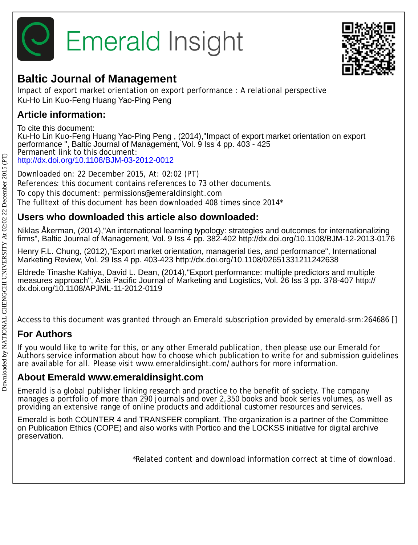



## **Baltic Journal of Management**

Impact of export market orientation on export performance : A relational perspective Ku-Ho Lin Kuo-Feng Huang Yao-Ping Peng

## **Article information:**

To cite this document: Ku-Ho Lin Kuo-Feng Huang Yao-Ping Peng , (2014),"Impact of export market orientation on export performance ", Baltic Journal of Management, Vol. 9 Iss 4 pp. 403 - 425 Permanent link to this document: <http://dx.doi.org/10.1108/BJM-03-2012-0012>

Downloaded on: 22 December 2015, At: 02:02 (PT) References: this document contains references to 73 other documents. To copy this document: permissions@emeraldinsight.com The fulltext of this document has been downloaded 408 times since 2014\*

## **Users who downloaded this article also downloaded:**

Niklas Åkerman, (2014),"An international learning typology: strategies and outcomes for internationalizing firms", Baltic Journal of Management, Vol. 9 Iss 4 pp. 382-402 http://dx.doi.org/10.1108/BJM-12-2013-0176

Henry F.L. Chung, (2012),"Export market orientation, managerial ties, and performance", International Marketing Review, Vol. 29 Iss 4 pp. 403-423 http://dx.doi.org/10.1108/02651331211242638

Eldrede Tinashe Kahiya, David L. Dean, (2014),"Export performance: multiple predictors and multiple measures approach", Asia Pacific Journal of Marketing and Logistics, Vol. 26 Iss 3 pp. 378-407 http:// dx.doi.org/10.1108/APJML-11-2012-0119

Access to this document was granted through an Emerald subscription provided by emerald-srm:264686 []

## **For Authors**

If you would like to write for this, or any other Emerald publication, then please use our Emerald for Authors service information about how to choose which publication to write for and submission guidelines are available for all. Please visit www.emeraldinsight.com/authors for more information.

## **About Emerald www.emeraldinsight.com**

Emerald is a global publisher linking research and practice to the benefit of society. The company manages a portfolio of more than 290 journals and over 2,350 books and book series volumes, as well as providing an extensive range of online products and additional customer resources and services.

Emerald is both COUNTER 4 and TRANSFER compliant. The organization is a partner of the Committee on Publication Ethics (COPE) and also works with Portico and the LOCKSS initiative for digital archive preservation.

\*Related content and download information correct at time of download.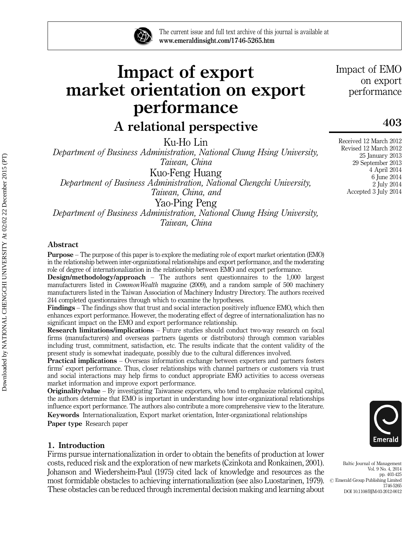

The current issue and full text archive of this journal is available at www.emeraldinsight.com/1746-5265.htm

# Impact of export market orientation on export performance

# A relational perspective

Ku-Ho Lin

Department of Business Administration, National Chung Hsing University, Taiwan, China

Kuo-Feng Huang

Department of Business Administration, National Chengchi University, Taiwan, China, and Yao-Ping Peng

Department of Business Administration, National Chung Hsing University, Taiwan, China

#### Abstract

Purpose – The purpose of this paper is to explore the mediating role of export market orientation (EMO) in the relationship between inter-organizational relationships and export performance, and the moderating role of degree of internationalization in the relationship between EMO and export performance.

Design/methodology/approach – The authors sent questionnaires to the 1,000 largest manufacturers listed in CommonWealth magazine (2009), and a random sample of 500 machinery manufacturers listed in the Taiwan Association of Machinery Industry Directory. The authors received 244 completed questionnaires through which to examine the hypotheses.

Findings – The findings show that trust and social interaction positively influence EMO, which then enhances export performance. However, the moderating effect of degree of internationalization has no significant impact on the EMO and export performance relationship.

Research limitations/implications – Future studies should conduct two-way research on focal firms (manufacturers) and overseas partners (agents or distributors) through common variables including trust, commitment, satisfaction, etc. The results indicate that the content validity of the present study is somewhat inadequate, possibly due to the cultural differences involved.

Practical implications – Overseas information exchange between exporters and partners fosters firms' export performance. Thus, closer relationships with channel partners or customers via trust and social interactions may help firms to conduct appropriate EMO activities to access overseas market information and improve export performance.

Originality/value – By investigating Taiwanese exporters, who tend to emphasize relational capital, the authors determine that EMO is important in understanding how inter-organizational relationships influence export performance. The authors also contribute a more comprehensive view to the literature. Keywords Internationalization, Export market orientation, Inter-organizational relationships Paper type Research paper

#### 1. Introduction

Firms pursue internationalization in order to obtain the benefits of production at lower costs, reduced risk and the exploration of new markets (Czinkota and Ronkainen, 2001). Johanson and Wiedersheim-Paul (1975) cited lack of knowledge and resources as the most formidable obstacles to achieving internationalization (see also Luostarinen, 1979). These obstacles can be reduced through incremental decision making and learning about Impact of EMO on export performance

## 403

Received 12 March 2012 Revised 12 March 2012 25 January 2013 29 September 2013 4 April 2014 6 June 2014 2 July 2014 Accepted 3 July 2014

Baltic Journal of Management Vol. 9 No. 4, 2014 pp. 403-425  $\odot$  Emerald Group Publishing Limited 1746-5265 DOI 10.1108/BJM-03-2012-0012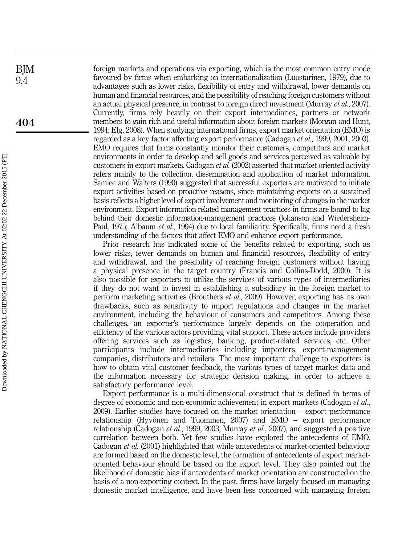foreign markets and operations via exporting, which is the most common entry mode favoured by firms when embarking on internationalization (Luostarinen, 1979), due to advantages such as lower risks, flexibility of entry and withdrawal, lower demands on human and financial resources, and the possibility of reaching foreign customers without an actual physical presence, in contrast to foreign direct investment (Murray et al., 2007). Currently, firms rely heavily on their export intermediaries, partners or network members to gain rich and useful information about foreign markets (Morgan and Hunt, 1994; Elg, 2008). When studying international firms, export market orientation (EMO) is regarded as a key factor affecting export performance (Cadogan et al., 1999, 2001, 2003). EMO requires that firms constantly monitor their customers, competitors and market environments in order to develop and sell goods and services perceived as valuable by customers in export markets. Cadogan et al. (2002) asserted that market-oriented activity refers mainly to the collection, dissemination and application of market information. Samiee and Walters (1990) suggested that successful exporters are motivated to initiate export activities based on proactive reasons, since maintaining exports on a sustained basis reflects a higher level of export involvement and monitoring of changes in the market environment. Export-information-related management practices in firms are bound to lag behind their domestic information-management practices (Johanson and Wiedersheim-Paul, 1975; Albaum *et al.*, 1994) due to local familiarity. Specifically, firms need a fresh understanding of the factors that affect EMO and enhance export performance.

Prior research has indicated some of the benefits related to exporting, such as lower risks, fewer demands on human and financial resources, flexibility of entry and withdrawal, and the possibility of reaching foreign customers without having a physical presence in the target country (Francis and Collins-Dodd, 2000). It is also possible for exporters to utilize the services of various types of intermediaries if they do not want to invest in establishing a subsidiary in the foreign market to perform marketing activities (Brouthers et al., 2009). However, exporting has its own drawbacks, such as sensitivity to import regulations and changes in the market environment, including the behaviour of consumers and competitors. Among these challenges, an exporter's performance largely depends on the cooperation and efficiency of the various actors providing vital support. These actors include providers offering services such as logistics, banking, product-related services, etc. Other participants include intermediaries including importers, export-management companies, distributors and retailers. The most important challenge to exporters is how to obtain vital customer feedback, the various types of target market data and the information necessary for strategic decision making, in order to achieve a satisfactory performance level.

Export performance is a multi-dimensional construct that is defined in terms of degree of economic and non-economic achievement in export markets (Cadogan et al., 2009). Earlier studies have focused on the market orientation – export performance relationship (Hyvönen and Tuominen,  $2007$ ) and EMO – export performance relationship (Cadogan et al., 1999, 2003; Murray et al., 2007), and suggested a positive correlation between both. Yet few studies have explored the antecedents of EMO. Cadogan et al. (2001) highlighted that while antecedents of market-oriented behaviour are formed based on the domestic level, the formation of antecedents of export marketoriented behaviour should be based on the export level. They also pointed out the likelihood of domestic bias if antecedents of market orientation are constructed on the basis of a non-exporting context. In the past, firms have largely focused on managing domestic market intelligence, and have been less concerned with managing foreign

BJM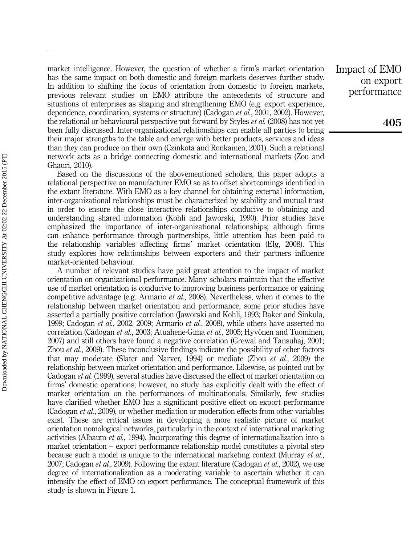market intelligence. However, the question of whether a firm's market orientation has the same impact on both domestic and foreign markets deserves further study. In addition to shifting the focus of orientation from domestic to foreign markets, previous relevant studies on EMO attribute the antecedents of structure and situations of enterprises as shaping and strengthening EMO (e.g. export experience, dependence, coordination, systems or structure) (Cadogan et al., 2001, 2002). However, the relational or behavioural perspective put forward by Styles et al. (2008) has not yet been fully discussed. Inter-organizational relationships can enable all parties to bring their major strengths to the table and emerge with better products, services and ideas than they can produce on their own (Czinkota and Ronkainen, 2001). Such a relational network acts as a bridge connecting domestic and international markets (Zou and Ghauri, 2010).

Based on the discussions of the abovementioned scholars, this paper adopts a relational perspective on manufacturer EMO so as to offset shortcomings identified in the extant literature. With EMO as a key channel for obtaining external information, inter-organizational relationships must be characterized by stability and mutual trust in order to ensure the close interactive relationships conducive to obtaining and understanding shared information (Kohli and Jaworski, 1990). Prior studies have emphasized the importance of inter-organizational relationships; although firms can enhance performance through partnerships, little attention has been paid to the relationship variables affecting firms' market orientation (Elg, 2008). This study explores how relationships between exporters and their partners influence market-oriented behaviour.

A number of relevant studies have paid great attention to the impact of market orientation on organizational performance. Many scholars maintain that the effective use of market orientation is conducive to improving business performance or gaining competitive advantage (e.g. Armario et al., 2008). Nevertheless, when it comes to the relationship between market orientation and performance, some prior studies have asserted a partially positive correlation (Jaworski and Kohli, 1993; Baker and Sinkula, 1999; Cadogan et al., 2002, 2009; Armario et al., 2008), while others have asserted no correlation (Cadogan *et al.*, 2003; Atuahene-Gima *et al.*, 2005; Hyvonen and Tuominen, 2007) and still others have found a negative correlation (Grewal and Tansuhaj, 2001; Zhou et al., 2009). These inconclusive findings indicate the possibility of other factors that may moderate (Slater and Narver, 1994) or mediate (Zhou *et al.*, 2009) the relationship between market orientation and performance. Likewise, as pointed out by Cadogan et al. (1999), several studies have discussed the effect of market orientation on firms' domestic operations; however, no study has explicitly dealt with the effect of market orientation on the performances of multinationals. Similarly, few studies have clarified whether EMO has a significant positive effect on export performance (Cadogan et al., 2009), or whether mediation or moderation effects from other variables exist. These are critical issues in developing a more realistic picture of market orientation nomological networks, particularly in the context of international marketing activities (Albaum *et al.*, 1994). Incorporating this degree of internationalization into a market orientation – export performance relationship model constitutes a pivotal step because such a model is unique to the international marketing context (Murray et al., 2007; Cadogan et al., 2009). Following the extant literature (Cadogan et al., 2002), we use degree of internationalization as a moderating variable to ascertain whether it can intensify the effect of EMO on export performance. The conceptual framework of this study is shown in Figure 1.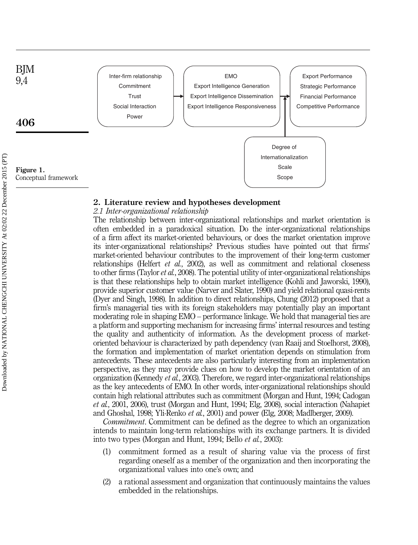

#### 2. Literature review and hypotheses development

#### 2.1 Inter-organizational relationship

The relationship between inter-organizational relationships and market orientation is often embedded in a paradoxical situation. Do the inter-organizational relationships of a firm affect its market-oriented behaviours, or does the market orientation improve its inter-organizational relationships? Previous studies have pointed out that firms' market-oriented behaviour contributes to the improvement of their long-term customer relationships (Helfert et al., 2002), as well as commitment and relational closeness to other firms (Taylor et al., 2008). The potential utility of inter-organizational relationships is that these relationships help to obtain market intelligence (Kohli and Jaworski, 1990), provide superior customer value (Narver and Slater, 1990) and yield relational quasi-rents (Dyer and Singh, 1998). In addition to direct relationships, Chung (2012) proposed that a firm's managerial ties with its foreign stakeholders may potentially play an important moderating role in shaping EMO – performance linkage. We hold that managerial ties are a platform and supporting mechanism for increasing firms' internal resources and testing the quality and authenticity of information. As the development process of marketoriented behaviour is characterized by path dependency (van Raaij and Stoelhorst, 2008), the formation and implementation of market orientation depends on stimulation from antecedents. These antecedents are also particularly interesting from an implementation perspective, as they may provide clues on how to develop the market orientation of an organization (Kennedy et al., 2003). Therefore, we regard inter-organizational relationships as the key antecedents of EMO. In other words, inter-organizational relationships should contain high relational attributes such as commitment (Morgan and Hunt, 1994; Cadogan et al., 2001, 2006), trust (Morgan and Hunt, 1994; Elg, 2008), social interaction (Nahapiet and Ghoshal, 1998; Yli-Renko et al., 2001) and power (Elg, 2008; Madlberger, 2009).

Commitment. Commitment can be defined as the degree to which an organization intends to maintain long-term relationships with its exchange partners. It is divided into two types (Morgan and Hunt, 1994; Bello et al., 2003):

- (1) commitment formed as a result of sharing value via the process of first regarding oneself as a member of the organization and then incorporating the organizational values into one's own; and
- (2) a rational assessment and organization that continuously maintains the values embedded in the relationships.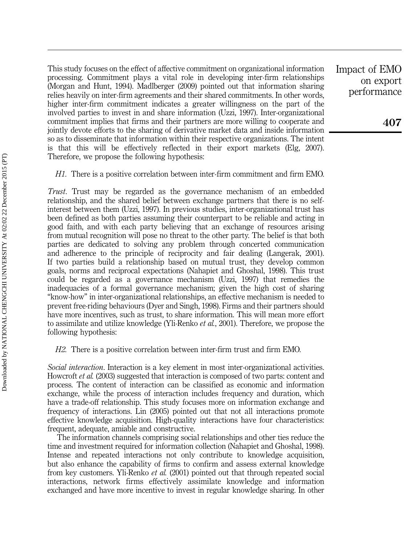This study focuses on the effect of affective commitment on organizational information processing. Commitment plays a vital role in developing inter-firm relationships (Morgan and Hunt, 1994). Madlberger (2009) pointed out that information sharing relies heavily on inter-firm agreements and their shared commitments. In other words, higher inter-firm commitment indicates a greater willingness on the part of the involved parties to invest in and share information (Uzzi, 1997). Inter-organizational commitment implies that firms and their partners are more willing to cooperate and jointly devote efforts to the sharing of derivative market data and inside information so as to disseminate that information within their respective organizations. The intent is that this will be effectively reflected in their export markets (Elg, 2007). Therefore, we propose the following hypothesis:

#### H1. There is a positive correlation between inter-firm commitment and firm EMO.

Trust. Trust may be regarded as the governance mechanism of an embedded relationship, and the shared belief between exchange partners that there is no selfinterest between them (Uzzi, 1997). In previous studies, inter-organizational trust has been defined as both parties assuming their counterpart to be reliable and acting in good faith, and with each party believing that an exchange of resources arising from mutual recognition will pose no threat to the other party. The belief is that both parties are dedicated to solving any problem through concerted communication and adherence to the principle of reciprocity and fair dealing (Langerak, 2001). If two parties build a relationship based on mutual trust, they develop common goals, norms and reciprocal expectations (Nahapiet and Ghoshal, 1998). This trust could be regarded as a governance mechanism (Uzzi, 1997) that remedies the inadequacies of a formal governance mechanism; given the high cost of sharing "know-how" in inter-organizational relationships, an effective mechanism is needed to prevent free-riding behaviours (Dyer and Singh, 1998). Firms and their partners should have more incentives, such as trust, to share information. This will mean more effort to assimilate and utilize knowledge (Yli-Renko *et al.*, 2001). Therefore, we propose the following hypothesis:

H2. There is a positive correlation between inter-firm trust and firm EMO.

Social interaction. Interaction is a key element in most inter-organizational activities. Howcroft et al. (2003) suggested that interaction is composed of two parts: content and process. The content of interaction can be classified as economic and information exchange, while the process of interaction includes frequency and duration, which have a trade-off relationship. This study focuses more on information exchange and frequency of interactions. Lin (2005) pointed out that not all interactions promote effective knowledge acquisition. High-quality interactions have four characteristics: frequent, adequate, amiable and constructive.

The information channels comprising social relationships and other ties reduce the time and investment required for information collection (Nahapiet and Ghoshal, 1998). Intense and repeated interactions not only contribute to knowledge acquisition, but also enhance the capability of firms to confirm and assess external knowledge from key customers. Yli-Renko et al. (2001) pointed out that through repeated social interactions, network firms effectively assimilate knowledge and information exchanged and have more incentive to invest in regular knowledge sharing. In other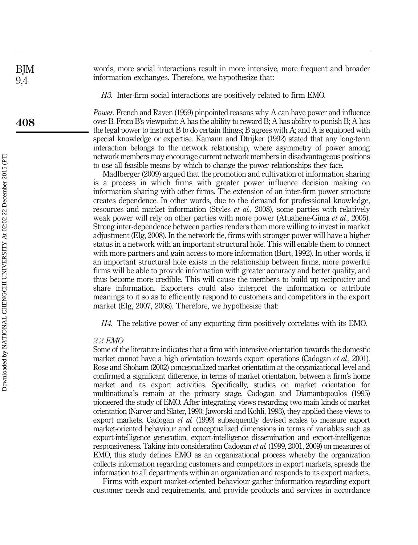words, more social interactions result in more intensive, more frequent and broader information exchanges. Therefore, we hypothesize that:

H3. Inter-firm social interactions are positively related to firm EMO.

Power. French and Raven (1959) pinpointed reasons why A can have power and influence over B. From B's viewpoint: A has the ability to reward B; A has ability to punish B; A has the legal power to instruct B to do certain things; B agrees with A; and A is equipped with special knowledge or expertise. Kamann and Dtrijker (1992) stated that any long-term interaction belongs to the network relationship, where asymmetry of power among network members may encourage current network members in disadvantageous positions to use all feasible means by which to change the power relationships they face.

Madlberger (2009) argued that the promotion and cultivation of information sharing is a process in which firms with greater power influence decision making on information sharing with other firms. The extension of an inter-firm power structure creates dependence. In other words, due to the demand for professional knowledge, resources and market information (Styles et al., 2008), some parties with relatively weak power will rely on other parties with more power (Atuahene-Gima *et al.*, 2005). Strong inter-dependence between parties renders them more willing to invest in market adjustment (Elg, 2008). In the network tie, firms with stronger power will have a higher status in a network with an important structural hole. This will enable them to connect with more partners and gain access to more information (Burt, 1992). In other words, if an important structural hole exists in the relationship between firms, more powerful firms will be able to provide information with greater accuracy and better quality, and thus become more credible. This will cause the members to build up reciprocity and share information. Exporters could also interpret the information or attribute meanings to it so as to efficiently respond to customers and competitors in the export market (Elg, 2007, 2008). Therefore, we hypothesize that:

H4. The relative power of any exporting firm positively correlates with its EMO.

#### 2.2 EMO

Some of the literature indicates that a firm with intensive orientation towards the domestic market cannot have a high orientation towards export operations (Cadogan *et al.*, 2001). Rose and Shoham (2002) conceptualized market orientation at the organizational level and confirmed a significant difference, in terms of market orientation, between a firm's home market and its export activities. Specifically, studies on market orientation for multinationals remain at the primary stage. Cadogan and Diamantopoulos (1995) pioneered the study of EMO. After integrating views regarding two main kinds of market orientation (Narver and Slater, 1990; Jaworski and Kohli, 1993), they applied these views to export markets. Cadogan *et al.* (1999) subsequently devised scales to measure export market-oriented behaviour and conceptualized dimensions in terms of variables such as export-intelligence generation, export-intelligence dissemination and export-intelligence responsiveness. Taking into consideration Cadogan et al. (1999, 2001, 2009) on measures of EMO, this study defines EMO as an organizational process whereby the organization collects information regarding customers and competitors in export markets, spreads the information to all departments within an organization and responds to its export markets.

Firms with export market-oriented behaviour gather information regarding export customer needs and requirements, and provide products and services in accordance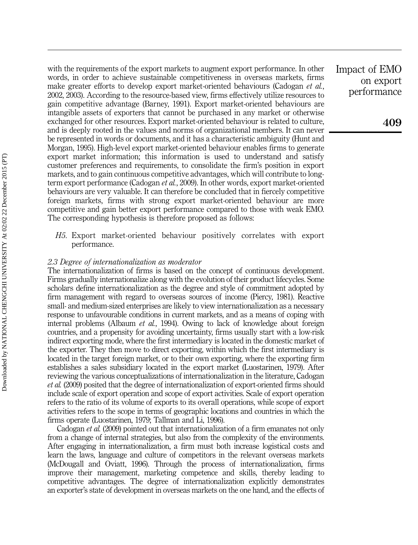with the requirements of the export markets to augment export performance. In other words, in order to achieve sustainable competitiveness in overseas markets, firms make greater efforts to develop export market-oriented behaviours (Cadogan *et al.*, 2002, 2003). According to the resource-based view, firms effectively utilize resources to gain competitive advantage (Barney, 1991). Export market-oriented behaviours are intangible assets of exporters that cannot be purchased in any market or otherwise exchanged for other resources. Export market-oriented behaviour is related to culture, and is deeply rooted in the values and norms of organizational members. It can never be represented in words or documents, and it has a characteristic ambiguity (Hunt and Morgan, 1995). High-level export market-oriented behaviour enables firms to generate export market information; this information is used to understand and satisfy customer preferences and requirements, to consolidate the firm's position in export markets, and to gain continuous competitive advantages, which will contribute to longterm export performance (Cadogan et al., 2009). In other words, export market-oriented behaviours are very valuable. It can therefore be concluded that in fiercely competitive foreign markets, firms with strong export market-oriented behaviour are more competitive and gain better export performance compared to those with weak EMO. The corresponding hypothesis is therefore proposed as follows:

H5. Export market-oriented behaviour positively correlates with export performance.

#### 2.3 Degree of internationalization as moderator

The internationalization of firms is based on the concept of continuous development. Firms gradually internationalize along with the evolution of their product lifecycles. Some scholars define internationalization as the degree and style of commitment adopted by firm management with regard to overseas sources of income (Piercy, 1981). Reactive small- and medium-sized enterprises are likely to view internationalization as a necessary response to unfavourable conditions in current markets, and as a means of coping with internal problems (Albaum *et al.*, 1994). Owing to lack of knowledge about foreign countries, and a propensity for avoiding uncertainty, firms usually start with a low-risk indirect exporting mode, where the first intermediary is located in the domestic market of the exporter. They then move to direct exporting, within which the first intermediary is located in the target foreign market, or to their own exporting, where the exporting firm establishes a sales subsidiary located in the export market (Luostarinen, 1979). After reviewing the various conceptualizations of internationalization in the literature, Cadogan et al. (2009) posited that the degree of internationalization of export-oriented firms should include scale of export operation and scope of export activities. Scale of export operation refers to the ratio of its volume of exports to its overall operations, while scope of export activities refers to the scope in terms of geographic locations and countries in which the firms operate (Luostarinen, 1979; Tallman and Li, 1996).

Cadogan et al. (2009) pointed out that internationalization of a firm emanates not only from a change of internal strategies, but also from the complexity of the environments. After engaging in internationalization, a firm must both increase logistical costs and learn the laws, language and culture of competitors in the relevant overseas markets (McDougall and Oviatt, 1996). Through the process of internationalization, firms improve their management, marketing competence and skills, thereby leading to competitive advantages. The degree of internationalization explicitly demonstrates an exporter's state of development in overseas markets on the one hand, and the effects of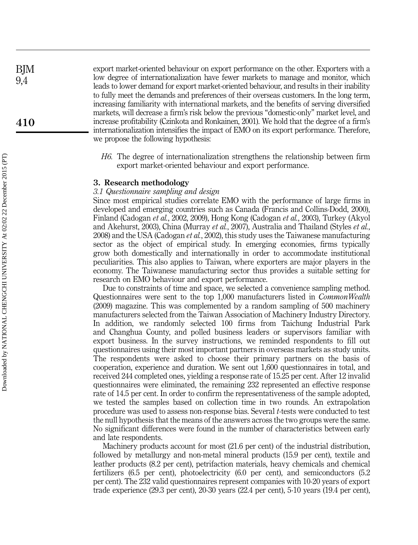export market-oriented behaviour on export performance on the other. Exporters with a low degree of internationalization have fewer markets to manage and monitor, which leads to lower demand for export market-oriented behaviour, and results in their inability to fully meet the demands and preferences of their overseas customers. In the long term, increasing familiarity with international markets, and the benefits of serving diversified markets, will decrease a firm's risk below the previous "domestic-only" market level, and increase profitability (Czinkota and Ronkainen, 2001). We hold that the degree of a firm's internationalization intensifies the impact of EMO on its export performance. Therefore, we propose the following hypothesis:

H6. The degree of internationalization strengthens the relationship between firm export market-oriented behaviour and export performance.

#### 3. Research methodology

#### 3.1 Questionnaire sampling and design

Since most empirical studies correlate EMO with the performance of large firms in developed and emerging countries such as Canada (Francis and Collins-Dodd, 2000), Finland (Cadogan et al., 2002, 2009), Hong Kong (Cadogan et al., 2003), Turkey (Akyol and Akehurst, 2003), China (Murray et al., 2007), Australia and Thailand (Styles et al., 2008) and the USA (Cadogan et al., 2002), this study uses the Taiwanese manufacturing sector as the object of empirical study. In emerging economies, firms typically grow both domestically and internationally in order to accommodate institutional peculiarities. This also applies to Taiwan, where exporters are major players in the economy. The Taiwanese manufacturing sector thus provides a suitable setting for research on EMO behaviour and export performance.

Due to constraints of time and space, we selected a convenience sampling method. Questionnaires were sent to the top 1,000 manufacturers listed in CommonWealth (2009) magazine. This was complemented by a random sampling of 500 machinery manufacturers selected from the Taiwan Association of Machinery Industry Directory. In addition, we randomly selected 100 firms from Taichung Industrial Park and Changhua County, and polled business leaders or supervisors familiar with export business. In the survey instructions, we reminded respondents to fill out questionnaires using their most important partners in overseas markets as study units. The respondents were asked to choose their primary partners on the basis of cooperation, experience and duration. We sent out 1,600 questionnaires in total, and received 244 completed ones, yielding a response rate of 15.25 per cent. After 12 invalid questionnaires were eliminated, the remaining 232 represented an effective response rate of 14.5 per cent. In order to confirm the representativeness of the sample adopted, we tested the samples based on collection time in two rounds. An extrapolation procedure was used to assess non-response bias. Several t-tests were conducted to test the null hypothesis that the means of the answers across the two groups were the same. No significant differences were found in the number of characteristics between early and late respondents.

Machinery products account for most (21.6 per cent) of the industrial distribution, followed by metallurgy and non-metal mineral products (15.9 per cent), textile and leather products (8.2 per cent), petrifaction materials, heavy chemicals and chemical fertilizers (6.5 per cent), photoelectricity (6.0 per cent), and semiconductors (5.2 per cent). The 232 valid questionnaires represent companies with 10-20 years of export trade experience (29.3 per cent), 20-30 years (22.4 per cent), 5-10 years (19.4 per cent),

410

BJM 9,4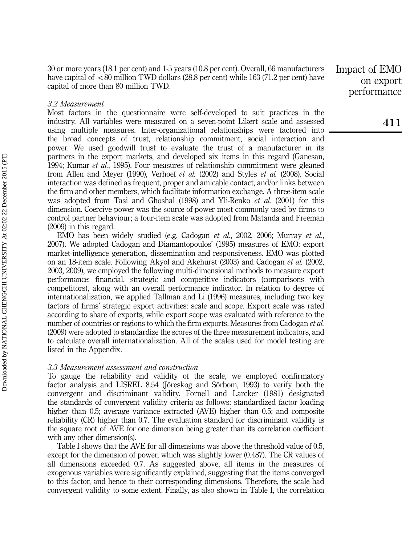30 or more years (18.1 per cent) and 1-5 years (10.8 per cent). Overall, 66 manufacturers have capital of  $\langle 80 \rangle$  million TWD dollars (28.8 per cent) while 163 (71.2 per cent) have capital of more than 80 million TWD.

#### 3.2 Measurement

Most factors in the questionnaire were self-developed to suit practices in the industry. All variables were measured on a seven-point Likert scale and assessed using multiple measures. Inter-organizational relationships were factored into the broad concepts of trust, relationship commitment, social interaction and power. We used goodwill trust to evaluate the trust of a manufacturer in its partners in the export markets, and developed six items in this regard (Ganesan, 1994; Kumar et al., 1995). Four measures of relationship commitment were gleaned from Allen and Meyer (1990), Verhoef et al. (2002) and Styles et al. (2008). Social interaction was defined as frequent, proper and amicable contact, and/or links between the firm and other members, which facilitate information exchange. A three-item scale was adopted from Tasi and Ghoshal (1998) and Yli-Renko et al. (2001) for this dimension. Coercive power was the source of power most commonly used by firms to control partner behaviour; a four-item scale was adopted from Matanda and Freeman (2009) in this regard.

EMO has been widely studied (e.g. Cadogan et al., 2002, 2006; Murray et al., 2007). We adopted Cadogan and Diamantopoulos' (1995) measures of EMO: export market-intelligence generation, dissemination and responsiveness. EMO was plotted on an 18-item scale. Following Akyol and Akehurst (2003) and Cadogan et al. (2002, 2003, 2009), we employed the following multi-dimensional methods to measure export performance: financial, strategic and competitive indicators (comparisons with competitors), along with an overall performance indicator. In relation to degree of internationalization, we applied Tallman and Li (1996) measures, including two key factors of firms' strategic export activities: scale and scope. Export scale was rated according to share of exports, while export scope was evaluated with reference to the number of countries or regions to which the firm exports. Measures from Cadogan *et al.* (2009) were adopted to standardize the scores of the three measurement indicators, and to calculate overall internationalization. All of the scales used for model testing are listed in the Appendix.

#### 3.3 Measurement assessment and construction

To gauge the reliability and validity of the scale, we employed confirmatory factor analysis and LISREL 8.54 (Jöreskog and Sörbom, 1993) to verify both the convergent and discriminant validity. Fornell and Larcker (1981) designated the standards of convergent validity criteria as follows: standardized factor loading higher than 0.5; average variance extracted (AVE) higher than 0.5; and composite reliability (CR) higher than 0.7. The evaluation standard for discriminant validity is the square root of AVE for one dimension being greater than its correlation coefficient with any other dimension(s).

Table I shows that the AVE for all dimensions was above the threshold value of 0.5, except for the dimension of power, which was slightly lower (0.487). The CR values of all dimensions exceeded 0.7. As suggested above, all items in the measures of exogenous variables were significantly explained, suggesting that the items converged to this factor, and hence to their corresponding dimensions. Therefore, the scale had convergent validity to some extent. Finally, as also shown in Table I, the correlation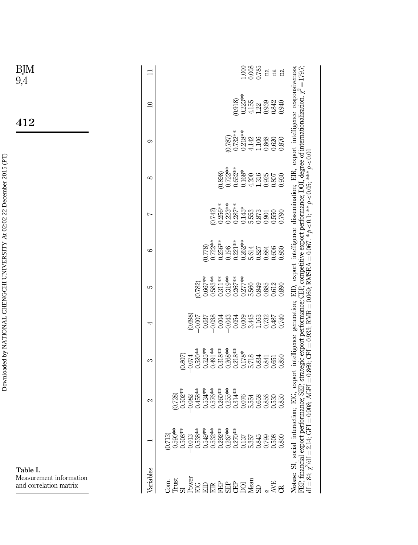| BJM<br>9,4                                                    | Ξ              | 0.008<br>0001<br>0.785<br>na<br>na<br>na                                                                                                                                                                                                                                                                                                                                                                                            |
|---------------------------------------------------------------|----------------|-------------------------------------------------------------------------------------------------------------------------------------------------------------------------------------------------------------------------------------------------------------------------------------------------------------------------------------------------------------------------------------------------------------------------------------|
|                                                               | $\Box$         | $0.223**$<br>(0.918)<br>4.155<br>0.939<br>0.842<br>0.940<br>1.22                                                                                                                                                                                                                                                                                                                                                                    |
| 412                                                           | တ              | 0.732**<br>$0.218***$<br>(0.787)<br>4.142<br>1.106<br>0.868<br>0.620<br>0.870                                                                                                                                                                                                                                                                                                                                                       |
|                                                               | $^{\circ}$     | $0.722**$<br>$0.632***$<br>$0.168*$<br>(0.898)<br>4.200<br>1.316<br>0.925<br>0.807<br>0.930                                                                                                                                                                                                                                                                                                                                         |
|                                                               | $\overline{ }$ | $0.256***$<br>$0.223**$<br>$0.287***$<br>$0.145*$<br>(0.742)<br>5.553<br>0.873<br>0.550<br>0.790<br>0.901                                                                                                                                                                                                                                                                                                                           |
|                                                               | G              | $0.722**$<br>$0.256***$<br>$0.221***$<br>$0.262***$<br>(0.778)<br>0.196<br>5.614<br>0.606<br>0.884<br>0.860<br>0.827                                                                                                                                                                                                                                                                                                                |
|                                                               | 5              | $0.667***$<br>$0.267***$<br>$0.583***$<br>$0.311***$<br>$0.319***$<br>$0.277***$<br>(0.782)<br>5.560<br>0.849<br>0.885<br>0.612<br>0.890                                                                                                                                                                                                                                                                                            |
|                                                               | 4              | (0.698)<br>0.009<br>3.445<br>1.163<br>0.732<br>0.038<br>$-0.043$<br>0.054<br>0.487<br>$-0.007$<br>0.740<br>0.037<br>0.004                                                                                                                                                                                                                                                                                                           |
|                                                               | S              | $0.218***$<br>$0.520***$<br>$0.525***$<br>$0.491***$<br>$0.318***$<br>$0.268***$<br>$0.178*$<br>(0.807)<br>$-0.074$<br>5.718<br>0.834<br>0.850<br>0.841<br>0.651                                                                                                                                                                                                                                                                    |
|                                                               | 2              | mance; SEP, strategic export performance; CEP, competitive export performance; DOI, degree of internationalization. $\chi^2 = 179.7$ ;<br>0.908; AGFI = 0.869; CFI = 0.933; RMR = 0.069; RMSEA = 0.067. * $p < 0.1$ ; * * $p < 0.05$ ; * * * $p < 0.01$<br>$0.502***$<br>$0.576***$<br>$0.260***$<br>$0.255***$<br>$0.314***$<br>$0.458***$<br>$0.534***$<br>(0.728)<br>0.082<br>0.076<br>5.554<br>0.658<br>0.856<br>0.530<br>0.850 |
|                                                               |                | $0.270***$<br>$0.508**$<br>$\begin{array}{c} (0.713) \\ 0.590^{**} \end{array}$<br>0.549**<br>0.532**<br>0.292**<br>$0.538*$<br>0.013<br>0.845<br>0.508<br>0.508<br>0.137<br>5.357                                                                                                                                                                                                                                                  |
| Table I.<br>Measurement information<br>and correlation matrix | Variables      | Notes: SI, social interaction; EIG, export intelligence generation; EID, export intelligence dissemination; EIR, export intelligence responsiveness;<br>FEP, financial export perfor<br>df = 84; $\chi^2$ /df = 2.14; GFI =<br>AE<br>Cr                                                                                                                                                                                             |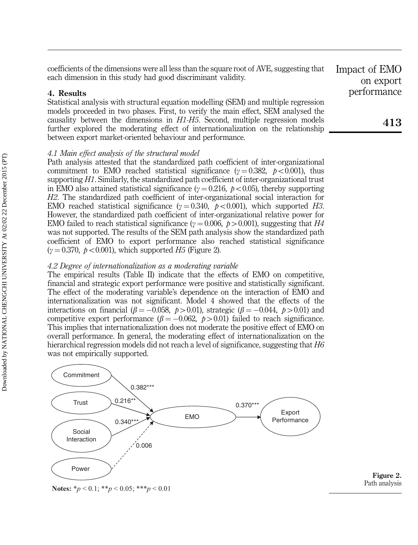coefficients of the dimensions were all less than the square root of AVE, suggesting that each dimension in this study had good discriminant validity.

#### 4. Results

Statistical analysis with structural equation modelling (SEM) and multiple regression models proceeded in two phases. First, to verify the main effect, SEM analysed the causality between the dimensions in H1-H5. Second, multiple regression models further explored the moderating effect of internationalization on the relationship between export market-oriented behaviour and performance.

#### 4.1 Main effect analysis of the structural model

Path analysis attested that the standardized path coefficient of inter-organizational commitment to EMO reached statistical significance ( $\gamma = 0.382$ ,  $\beta < 0.001$ ), thus supporting H1. Similarly, the standardized path coefficient of inter-organizational trust in EMO also attained statistical significance ( $\gamma = 0.216$ ,  $\beta < 0.05$ ), thereby supporting H2. The standardized path coefficient of inter-organizational social interaction for EMO reached statistical significance ( $\gamma = 0.340$ ,  $p < 0.001$ ), which supported H3. However, the standardized path coefficient of inter-organizational relative power for EMO failed to reach statistical significance ( $\gamma = 0.006$ ,  $\rho > 0.001$ ), suggesting that H4 was not supported. The results of the SEM path analysis show the standardized path coefficient of EMO to export performance also reached statistical significance  $(y = 0.370, p < 0.001)$ , which supported H5 (Figure 2).

#### 4.2 Degree of internationalization as a moderating variable

The empirical results (Table II) indicate that the effects of EMO on competitive, financial and strategic export performance were positive and statistically significant. The effect of the moderating variable's dependence on the interaction of EMO and internationalization was not significant. Model 4 showed that the effects of the interactions on financial ( $\beta = -0.058$ ,  $\beta > 0.01$ ), strategic ( $\beta = -0.044$ ,  $\beta > 0.01$ ) and competitive export performance ( $\beta = -0.062$ ,  $\beta > 0.01$ ) failed to reach significance. This implies that internationalization does not moderate the positive effect of EMO on overall performance. In general, the moderating effect of internationalization on the hierarchical regression models did not reach a level of significance, suggesting that  $H6$ was not empirically supported.



 $0.382***$ 

0.216\*\*

**Trust** 

**Commitment** 

**Notes:** \**p* < 0.1; \*\**p* < 0.05; \*\*\**p* < 0.01

Figure 2. Path analysis

Performance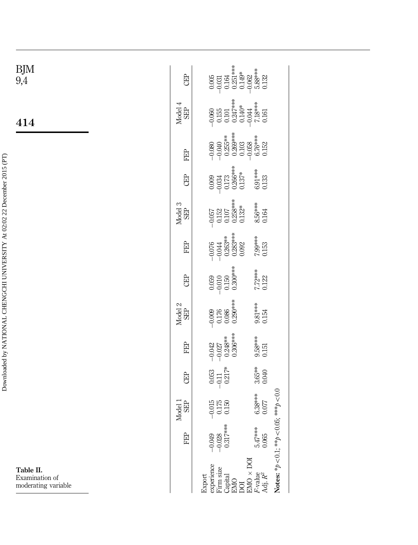| BJM<br>9,4                                         | CEP                                                        | $\begin{array}{r} 0.005 \\ -0.031 \\ 0.164 \\ 0.251*** \\ 0.149* \\ 0.149* \\ -0.062 \end{array}$<br>$5.88***$<br>0.132                                                                                                                                                                     |
|----------------------------------------------------|------------------------------------------------------------|---------------------------------------------------------------------------------------------------------------------------------------------------------------------------------------------------------------------------------------------------------------------------------------------|
| 414                                                | $\begin{array}{c} \text{Model 4}\\ \text{SEP} \end{array}$ | $0.247***$<br>$7.18***$<br>0.161<br>$0.140\,{*}$<br>$-0.044$<br>$-0.060$<br>$\begin{array}{c} 0.155 \\ 0.101 \end{array}$                                                                                                                                                                   |
|                                                    | <b>FEP</b>                                                 | $-0.080$<br>$-0.040$<br>$0.255**$<br>$0.269***$<br>$6.76***$<br>0.152<br>$-0.058$<br>0.103                                                                                                                                                                                                  |
|                                                    | <b>CEP</b>                                                 | $\begin{array}{r} 0.009 \\ -0.034 \\ 0.173 \\ 0.266*** \\ 0.267** \end{array}$<br>$6.91***$<br>0.133                                                                                                                                                                                        |
|                                                    | Model 3<br>SEP                                             | $\frac{0.258***}{0.132*}$<br>$8.56***$<br>0.164<br>$0.152$<br>$0.107$<br>$-0.057$                                                                                                                                                                                                           |
|                                                    | FEP                                                        | $\begin{array}{r} -0.076 \\ -0.044 \\ 0.263^{***} \\ 0.283^{***} \\ 0.092 \end{array}$<br>$7.99***$<br>0.153                                                                                                                                                                                |
|                                                    | CEP                                                        | $\frac{0.150}{0.300***}$<br>$7.72***$<br>0.122<br>$-0.059$                                                                                                                                                                                                                                  |
|                                                    | Model 2<br>SEP                                             | $-0.009$<br>0.176<br>0.086<br>0.290****<br>$\frac{9.81***}{0.154}$                                                                                                                                                                                                                          |
|                                                    | FEP                                                        | $-0.042$<br>$-0.027$<br>0.248**<br>0.306***<br>$\frac{9.58***}{0.151}$                                                                                                                                                                                                                      |
|                                                    | CEP                                                        | $3.65***$<br>$0.040$<br>$0.217*$<br>$\begin{array}{c} 0.053 \\ -0.11 \end{array}$                                                                                                                                                                                                           |
|                                                    | Model 1<br><b>SEP</b>                                      | $0.0 > d_{\ast\ast\ast\ast}$<br>$6.38***$<br>$0.077$<br>$-0.015$<br>0.175<br>0.150                                                                                                                                                                                                          |
|                                                    | FEP                                                        | $-0.049$<br>$-0.028$<br>0.317****<br>$5.47***$<br>0.065                                                                                                                                                                                                                                     |
| Table II.<br>Examination of<br>moderating variable |                                                            | Notes: * $p < 0.1$ ; ** $p < 0.05$ ;<br>$\begin{array}{l} \mbox{Export} \\ \mbox{experience} \\ \mbox{Firm size} \\ \mbox{Gapital} \\ \mbox{EMO} \\ \mbox{DMO} \\ \mbox{DMO} \\ \mbox{EMO} \times \mbox{DOL} \\ \mbox{EMO} \times \mbox{DOM} \\ \end{array}$<br>value<br>di. R <sup>2</sup> |

Downloaded by NATIONAL CHENGCHI UNIVERSITY At 02:02 22 December 2015 (PT) Downloaded by NATIONAL CHENGCHI UNIVERSITY At 02:02 22 December 2015 (PT)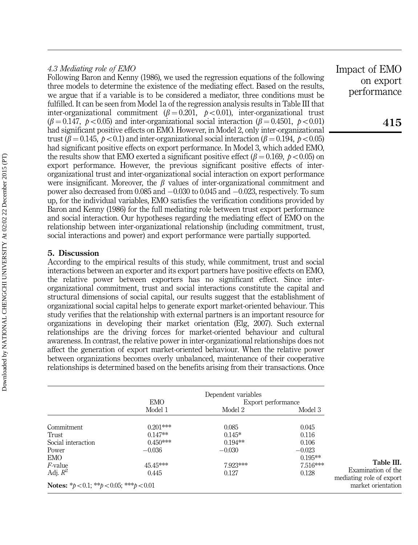#### 4.3 Mediating role of EMO

Following Baron and Kenny (1986), we used the regression equations of the following three models to determine the existence of the mediating effect. Based on the results, we argue that if a variable is to be considered a mediator, three conditions must be fulfilled. It can be seen from Model 1a of the regression analysis results in Table III that inter-organizational commitment  $(\beta = 0.201, p < 0.01)$ , inter-organizational trust  $(\beta = 0.147, p < 0.05)$  and inter-organizational social interaction  $(\beta = 0.4501, p < 0.01)$ had significant positive effects on EMO. However, in Model 2, only inter-organizational trust ( $\beta = 0.145$ ,  $\beta < 0.1$ ) and inter-organizational social interaction ( $\beta = 0.194$ ,  $\beta < 0.05$ ) had significant positive effects on export performance. In Model 3, which added EMO, the results show that EMO exerted a significant positive effect ( $\beta = 0.169$ ,  $p < 0.05$ ) on export performance. However, the previous significant positive effects of interorganizational trust and inter-organizational social interaction on export performance were insignificant. Moreover, the  $\beta$  values of inter-organizational commitment and power also decreased from 0.085 and -0.030 to 0.045 and -0.023, respectively. To sum up, for the individual variables, EMO satisfies the verification conditions provided by Baron and Kenny (1986) for the full mediating role between trust export performance and social interaction. Our hypotheses regarding the mediating effect of EMO on the relationship between inter-organizational relationship (including commitment, trust, social interactions and power) and export performance were partially supported.

#### 5. Discussion

According to the empirical results of this study, while commitment, trust and social interactions between an exporter and its export partners have positive effects on EMO, the relative power between exporters has no significant effect. Since interorganizational commitment, trust and social interactions constitute the capital and structural dimensions of social capital, our results suggest that the establishment of organizational social capital helps to generate export market-oriented behaviour. This study verifies that the relationship with external partners is an important resource for organizations in developing their market orientation (Elg, 2007). Such external relationships are the driving forces for market-oriented behaviour and cultural awareness. In contrast, the relative power in inter-organizational relationships does not affect the generation of export market-oriented behaviour. When the relative power between organizations becomes overly unbalanced, maintenance of their cooperative relationships is determined based on the benefits arising from their transactions. Once

|                                                     | Dependent variables<br><b>EMO</b><br>Export performance |           |           |                                                |  |
|-----------------------------------------------------|---------------------------------------------------------|-----------|-----------|------------------------------------------------|--|
|                                                     | Model 1                                                 | Model 2   | Model 3   |                                                |  |
| Commitment                                          | $0.201***$                                              | 0.085     | 0.045     |                                                |  |
| Trust                                               | $0.147**$                                               | $0.145*$  | 0.116     |                                                |  |
| Social interaction                                  | $0.450***$                                              | $0.194**$ | 0.106     |                                                |  |
| Power                                               | $-0.036$                                                | $-0.030$  | $-0.023$  |                                                |  |
| EMO .                                               |                                                         |           | $0.195**$ |                                                |  |
| <i>F</i> -value                                     | 45.45***                                                | 7.923***  | 7.516***  | Table III.                                     |  |
| Adj. $R^2$                                          | 0.445                                                   | 0.127     | 0.128     | Examination of the<br>mediating role of export |  |
| Notes: * $p < 0.1$ ; ** $p < 0.05$ ; *** $p < 0.01$ |                                                         |           |           | market orientation                             |  |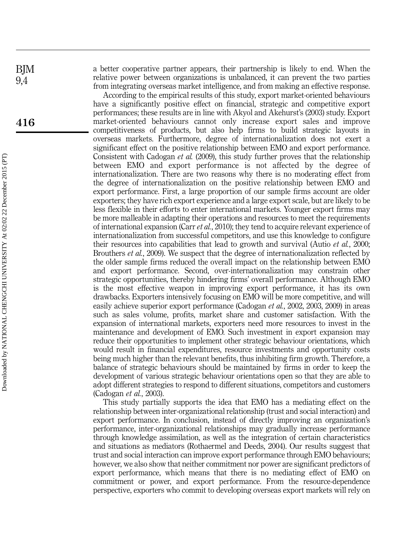a better cooperative partner appears, their partnership is likely to end. When the relative power between organizations is unbalanced, it can prevent the two parties from integrating overseas market intelligence, and from making an effective response.

According to the empirical results of this study, export market-oriented behaviours have a significantly positive effect on financial, strategic and competitive export performances; these results are in line with Akyol and Akehurst's (2003) study. Export market-oriented behaviours cannot only increase export sales and improve competitiveness of products, but also help firms to build strategic layouts in overseas markets. Furthermore, degree of internationalization does not exert a significant effect on the positive relationship between EMO and export performance. Consistent with Cadogan *et al.* (2009), this study further proves that the relationship between EMO and export performance is not affected by the degree of internationalization. There are two reasons why there is no moderating effect from the degree of internationalization on the positive relationship between EMO and export performance. First, a large proportion of our sample firms account are older exporters; they have rich export experience and a large export scale, but are likely to be less flexible in their efforts to enter international markets. Younger export firms may be more malleable in adapting their operations and resources to meet the requirements of international expansion (Carr et al., 2010); they tend to acquire relevant experience of internationalization from successful competitors, and use this knowledge to configure their resources into capabilities that lead to growth and survival (Autio et al., 2000; Brouthers *et al.*, 2009). We suspect that the degree of internationalization reflected by the older sample firms reduced the overall impact on the relationship between EMO and export performance. Second, over-internationalization may constrain other strategic opportunities, thereby hindering firms' overall performance. Although EMO is the most effective weapon in improving export performance, it has its own drawbacks. Exporters intensively focusing on EMO will be more competitive, and will easily achieve superior export performance (Cadogan et al., 2002, 2003, 2009) in areas such as sales volume, profits, market share and customer satisfaction. With the expansion of international markets, exporters need more resources to invest in the maintenance and development of EMO. Such investment in export expansion may reduce their opportunities to implement other strategic behaviour orientations, which would result in financial expenditures, resource investments and opportunity costs being much higher than the relevant benefits, thus inhibiting firm growth. Therefore, a balance of strategic behaviours should be maintained by firms in order to keep the development of various strategic behaviour orientations open so that they are able to adopt different strategies to respond to different situations, competitors and customers (Cadogan et al., 2003).

This study partially supports the idea that EMO has a mediating effect on the relationship between inter-organizational relationship (trust and social interaction) and export performance. In conclusion, instead of directly improving an organization's performance, inter-organizational relationships may gradually increase performance through knowledge assimilation, as well as the integration of certain characteristics and situations as mediators (Rothaermel and Deeds, 2004). Our results suggest that trust and social interaction can improve export performance through EMO behaviours; however, we also show that neither commitment nor power are significant predictors of export performance, which means that there is no mediating effect of EMO on commitment or power, and export performance. From the resource-dependence perspective, exporters who commit to developing overseas export markets will rely on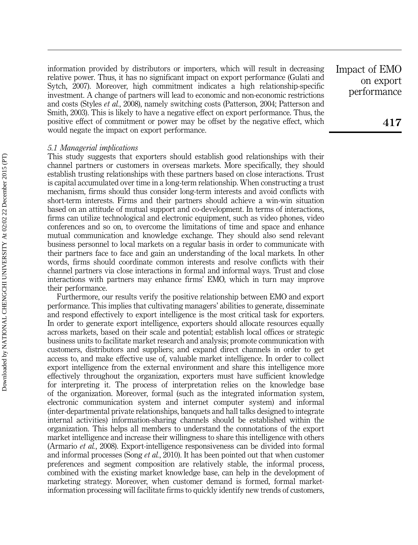information provided by distributors or importers, which will result in decreasing relative power. Thus, it has no significant impact on export performance (Gulati and Sytch, 2007). Moreover, high commitment indicates a high relationship-specific investment. A change of partners will lead to economic and non-economic restrictions and costs (Styles et al., 2008), namely switching costs (Patterson, 2004; Patterson and Smith, 2003). This is likely to have a negative effect on export performance. Thus, the positive effect of commitment or power may be offset by the negative effect, which would negate the impact on export performance.

#### 5.1 Managerial implications

This study suggests that exporters should establish good relationships with their channel partners or customers in overseas markets. More specifically, they should establish trusting relationships with these partners based on close interactions. Trust is capital accumulated over time in a long-term relationship. When constructing a trust mechanism, firms should thus consider long-term interests and avoid conflicts with short-term interests. Firms and their partners should achieve a win-win situation based on an attitude of mutual support and co-development. In terms of interactions, firms can utilize technological and electronic equipment, such as video phones, video conferences and so on, to overcome the limitations of time and space and enhance mutual communication and knowledge exchange. They should also send relevant business personnel to local markets on a regular basis in order to communicate with their partners face to face and gain an understanding of the local markets. In other words, firms should coordinate common interests and resolve conflicts with their channel partners via close interactions in formal and informal ways. Trust and close interactions with partners may enhance firms' EMO, which in turn may improve their performance.

Furthermore, our results verify the positive relationship between EMO and export performance. This implies that cultivating managers' abilities to generate, disseminate and respond effectively to export intelligence is the most critical task for exporters. In order to generate export intelligence, exporters should allocate resources equally across markets, based on their scale and potential; establish local offices or strategic business units to facilitate market research and analysis; promote communication with customers, distributors and suppliers; and expand direct channels in order to get access to, and make effective use of, valuable market intelligence. In order to collect export intelligence from the external environment and share this intelligence more effectively throughout the organization, exporters must have sufficient knowledge for interpreting it. The process of interpretation relies on the knowledge base of the organization. Moreover, formal (such as the integrated information system, electronic communication system and internet computer system) and informal (inter-departmental private relationships, banquets and hall talks designed to integrate internal activities) information-sharing channels should be established within the organization. This helps all members to understand the connotations of the export market intelligence and increase their willingness to share this intelligence with others (Armario et al., 2008). Export-intelligence responsiveness can be divided into formal and informal processes (Song  $et al., 2010$ ). It has been pointed out that when customer preferences and segment composition are relatively stable, the informal process, combined with the existing market knowledge base, can help in the development of marketing strategy. Moreover, when customer demand is formed, formal marketinformation processing will facilitate firms to quickly identify new trends of customers,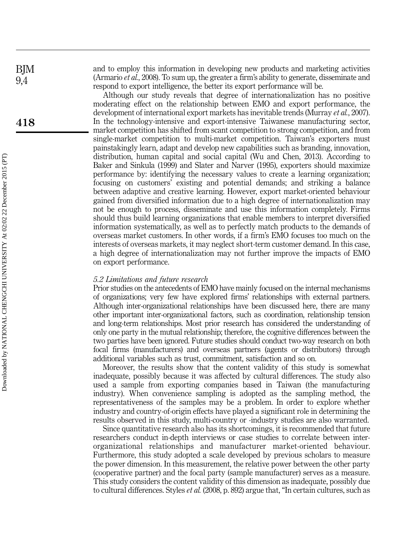and to employ this information in developing new products and marketing activities (Armario et al., 2008). To sum up, the greater a firm's ability to generate, disseminate and respond to export intelligence, the better its export performance will be.

Although our study reveals that degree of internationalization has no positive moderating effect on the relationship between EMO and export performance, the development of international export markets has inevitable trends (Murray *et al.*, 2007). In the technology-intensive and export-intensive Taiwanese manufacturing sector, market competition has shifted from scant competition to strong competition, and from single-market competition to multi-market competition. Taiwan's exporters must painstakingly learn, adapt and develop new capabilities such as branding, innovation, distribution, human capital and social capital (Wu and Chen, 2013). According to Baker and Sinkula (1999) and Slater and Narver (1995), exporters should maximize performance by: identifying the necessary values to create a learning organization; focusing on customers' existing and potential demands; and striking a balance between adaptive and creative learning. However, export market-oriented behaviour gained from diversified information due to a high degree of internationalization may not be enough to process, disseminate and use this information completely. Firms should thus build learning organizations that enable members to interpret diversified information systematically, as well as to perfectly match products to the demands of overseas market customers. In other words, if a firm's EMO focuses too much on the interests of overseas markets, it may neglect short-term customer demand. In this case, a high degree of internationalization may not further improve the impacts of EMO on export performance.

#### 5.2 Limitations and future research

Prior studies on the antecedents of EMO have mainly focused on the internal mechanisms of organizations; very few have explored firms' relationships with external partners. Although inter-organizational relationships have been discussed here, there are many other important inter-organizational factors, such as coordination, relationship tension and long-term relationships. Most prior research has considered the understanding of only one party in the mutual relationship; therefore, the cognitive differences between the two parties have been ignored. Future studies should conduct two-way research on both focal firms (manufacturers) and overseas partners (agents or distributors) through additional variables such as trust, commitment, satisfaction and so on.

Moreover, the results show that the content validity of this study is somewhat inadequate, possibly because it was affected by cultural differences. The study also used a sample from exporting companies based in Taiwan (the manufacturing industry). When convenience sampling is adopted as the sampling method, the representativeness of the samples may be a problem. In order to explore whether industry and country-of-origin effects have played a significant role in determining the results observed in this study, multi-country or -industry studies are also warranted.

Since quantitative research also has its shortcomings, it is recommended that future researchers conduct in-depth interviews or case studies to correlate between interorganizational relationships and manufacturer market-oriented behaviour. Furthermore, this study adopted a scale developed by previous scholars to measure the power dimension. In this measurement, the relative power between the other party (cooperative partner) and the focal party (sample manufacturer) serves as a measure. This study considers the content validity of this dimension as inadequate, possibly due to cultural differences. Styles et al. (2008, p. 892) argue that, "In certain cultures, such as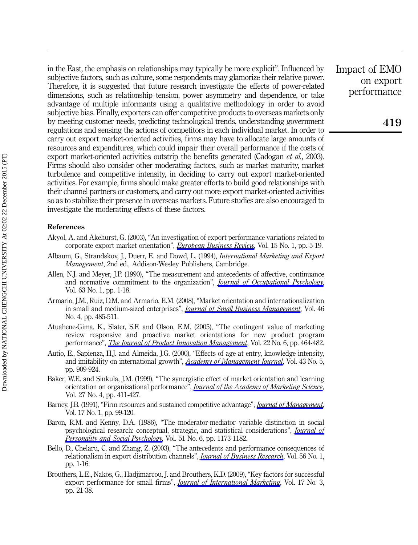in the East, the emphasis on relationships may typically be more explicit". Influenced by subjective factors, such as culture, some respondents may glamorize their relative power. Therefore, it is suggested that future research investigate the effects of power-related dimensions, such as relationship tension, power asymmetry and dependence, or take advantage of multiple informants using a qualitative methodology in order to avoid subjective bias. Finally, exporters can offer competitive products to overseas markets only by meeting customer needs, predicting technological trends, understanding government regulations and sensing the actions of competitors in each individual market. In order to carry out export market-oriented activities, firms may have to allocate large amounts of resources and expenditures, which could impair their overall performance if the costs of export market-oriented activities outstrip the benefits generated (Cadogan et al., 2003). Firms should also consider other moderating factors, such as market maturity, market turbulence and competitive intensity, in deciding to carry out export market-oriented activities. For example, firms should make greater efforts to build good relationships with their channel partners or customers, and carry out more export market-oriented activities so as to stabilize their presence in overseas markets. Future studies are also encouraged to investigate the moderating effects of these factors.

#### References

- Akyol, A. and Akehurst, G. (2003), "An investigation of export performance variations related to corporate export market orientation", *[European Business Review](http://www.emeraldinsight.com/action/showLinks?system=10.1108%2F09555340310455155)*, Vol. 15 No. 1, pp. 5-19.
- Albaum, G., Strandskov, J., Duerr, E. and Dowd, L. (1994), International Marketing and Export Management, 2nd ed., Addison-Wesley Publishers, Cambridge.
- Allen, N.J. and Meyer, J.P. (1990), "The measurement and antecedents of affective, continuance and normative commitment to the organization", *[Journal of Occupational Psychology](http://www.emeraldinsight.com/action/showLinks?crossref=10.1111%2Fj.2044-8325.1990.tb00506.x&isi=A1990CT35300001)*, Vol. 63 No. 1, pp. 1-18.
- Armario, J.M., Ruiz, D.M. and Armario, E.M. (2008), "Market orientation and internationalization in small and medium-sized enterprises", *[Journal of Small Business Management](http://www.emeraldinsight.com/action/showLinks?crossref=10.1111%2Fj.1540-627X.2008.00253.x&isi=000259347500001)*, Vol. 46 No. 4, pp. 485-511.
- Atuahene-Gima, K., Slater, S.F. and Olson, E.M. (2005), "The contingent value of marketing review responsive and proactive market orientations for new product program performance", [The Journal of Product Innovation Management](http://www.emeraldinsight.com/action/showLinks?crossref=10.1111%2Fj.1540-5885.2005.00144.x&isi=000232773400002), Vol. 22 No. 6, pp. 464-482.
- Autio, E., Sapienza, H.J. and Almeida, J.G. (2000), "Effects of age at entry, knowledge intensity, and imitability on international growth", *[Academy of Management Journal](http://www.emeraldinsight.com/action/showLinks?crossref=10.2307%2F1556419&isi=000090056700010)*, Vol. 43 No. 5, pp. 909-924.
- Baker, W.E. and Sinkula, J.M. (1999), "The synergistic effect of market orientation and learning orientation on organizational performance", *[Journal of the Academy of Marketing Science](http://www.emeraldinsight.com/action/showLinks?crossref=10.1177%2F0092070399274002&isi=000082642000002)*, Vol. 27 No. 4, pp. 411-427.
- Barney, J.B. (1991), "Firm resources and sustained competitive advantage", *[Journal of Management](http://www.emeraldinsight.com/action/showLinks?crossref=10.1177%2F014920639101700108&isi=A1991FE14500007)*, Vol. 17 No. 1, pp. 99-120.
- Baron, R.M. and Kenny, D.A. (1986), "The moderator-mediator variable distinction in social psychological research: conceptual, strategic, and statistical considerations", [Journal of](http://www.emeraldinsight.com/action/showLinks?crossref=10.1037%2F0022-3514.51.6.1173&isi=A1986F285400010) [Personality and Social Psychology](http://www.emeraldinsight.com/action/showLinks?crossref=10.1037%2F0022-3514.51.6.1173&isi=A1986F285400010), Vol. 51 No. 6, pp. 1173-1182.
- Bello, D., Chelaru, C. and Zhang, Z. (2003), "The antecedents and performance consequences of relationalism in export distribution channels", *[Journal of Business Research](http://www.emeraldinsight.com/action/showLinks?crossref=10.1016%2FS0148-2963%2801%2900215-6&isi=000180724700001)*, Vol. 56 No. 1, pp. 1-16.
- Brouthers, L.E., Nakos, G., Hadjimarcou, J. and Brouthers, K.D. (2009), "Key factors for successful export performance for small firms", *[Journal of International Marketing](http://www.emeraldinsight.com/action/showLinks?crossref=10.1509%2Fjimk.17.3.21)*, Vol. 17 No. 3, pp. 21-38.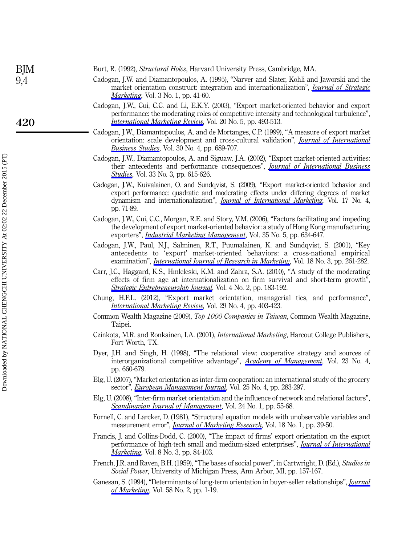| BJM | Burt, R. (1992), Structural Holes, Harvard University Press, Cambridge, MA.                                                                                                                                                                                                                             |
|-----|---------------------------------------------------------------------------------------------------------------------------------------------------------------------------------------------------------------------------------------------------------------------------------------------------------|
| 9,4 | Cadogan, J.W. and Diamantopoulos, A. (1995), "Narver and Slater, Kohli and Jaworski and the<br>market orientation construct: integration and internationalization", <i>Journal of Strategic</i><br><i>Marketing</i> , Vol. 3 No. 1, pp. 41-60.                                                          |
| 420 | Cadogan, J.W., Cui, C.C. and Li, E.K.Y. (2003), "Export market-oriented behavior and export<br>performance: the moderating roles of competitive intensity and technological turbulence",<br>International Marketing Review, Vol. 20 No. 5, pp. 493-513.                                                 |
|     | Cadogan, J.W., Diamantopoulos, A. and de Mortanges, C.P. (1999), "A measure of export market<br>orientation: scale development and cross-cultural validation", <i>Journal of International</i><br>Business Studies, Vol. 30 No. 4, pp. 689-707.                                                         |
|     | Cadogan, J.W., Diamantopoulos, A. and Siguaw, J.A. (2002), "Export market-oriented activities:<br>their antecedents and performance consequences", <i>Journal of International Business</i><br>Studies, Vol. 33 No. 3, pp. 615-626.                                                                     |
|     | Cadogan, J.W., Kuivalainen, O. and Sundqvist, S. (2009), "Export market-oriented behavior and<br>export performance: quadratic and moderating effects under differing degrees of market<br>dynamism and internationalization", <i>Journal of International Marketing</i> , Vol. 17 No. 4,<br>pp. 71-89. |
|     | Cadogan, J.W., Cui, C.C., Morgan, R.E. and Story, V.M. (2006), "Factors facilitating and impeding<br>the development of export market-oriented behavior: a study of Hong Kong manufacturing<br>exporters", <i>Industrial Marketing Management</i> , Vol. 35 No. 5, pp. 634-647.                         |
|     | Cadogan, J.W., Paul, N.J., Salminen, R.T., Puumalainen, K. and Sundqvist, S. (2001), "Key<br>antecedents to 'export' market-oriented behaviors: a cross-national empirical<br>examination", <i>International Journal of Research in Marketing</i> , Vol. 18 No. 3, pp. 261-282.                         |
|     | Carr, J.C., Haggard, K.S., Hmleleski, K.M. and Zahra, S.A. (2010), "A study of the moderating<br>effects of firm age at internationalization on firm survival and short-term growth",<br><i>Strategic Entrepreneurship Journal</i> , Vol. 4 No. 2, pp. 183-192.                                         |
|     | Chung, H.F.L. (2012), "Export market orientation, managerial ties, and performance",<br><i>International Marketing Review</i> , Vol. 29 No. 4, pp. 403-423.                                                                                                                                             |
|     | Common Wealth Magazine (2009), Top 1000 Companies in Taiwan, Common Wealth Magazine,<br>Taipei.                                                                                                                                                                                                         |
|     | Czinkota, M.R. and Ronkainen, I.A. (2001), International Marketing, Harcout College Publishers,<br>Fort Worth, TX.                                                                                                                                                                                      |
|     | Dyer, J.H. and Singh, H. (1998), "The relational view: cooperative strategy and sources of<br>interorganizational competitive advantage", <i>Academy of Management</i> , Vol. 23 No. 4,<br>pp. 660-679.                                                                                                 |
|     | Elg, U. (2007), "Market orientation as inter-firm cooperation: an international study of the grocery<br>sector", <i>European Management Journal</i> , Vol. 25 No. 4, pp. 283-297.                                                                                                                       |
|     | Elg, U. (2008), "Inter-firm market orientation and the influence of network and relational factors",<br><i>Scandinavian Journal of Management</i> , Vol. 24 No. 1, pp. 55-68.                                                                                                                           |
|     | Fornell, C. and Larcker, D. (1981), "Structural equation models with unobservable variables and<br>measurement error", <i>Journal of Marketing Research</i> , Vol. 18 No. 1, pp. 39-50.                                                                                                                 |
|     | Francis, J. and Collins-Dodd, C. (2000), "The impact of firms' export orientation on the export<br>performance of high-tech small and medium-sized enterprises", <i>Journal of International</i><br><i>Marketing</i> , Vol. 8 No. 3, pp. 84-103.                                                        |
|     | French, J.R. and Raven, B.H. (1959), "The bases of social power", in Cartwright, D. (Ed.), Studies in<br>Social Power, University of Michigan Press, Ann Arbor, MI, pp. 157-167.                                                                                                                        |
|     | Ganesan, S. (1994), "Determinants of long-term orientation in buyer-seller relationships", <i>Journal</i><br>of Marketing, Vol. 58 No. 2, pp. 1-19.                                                                                                                                                     |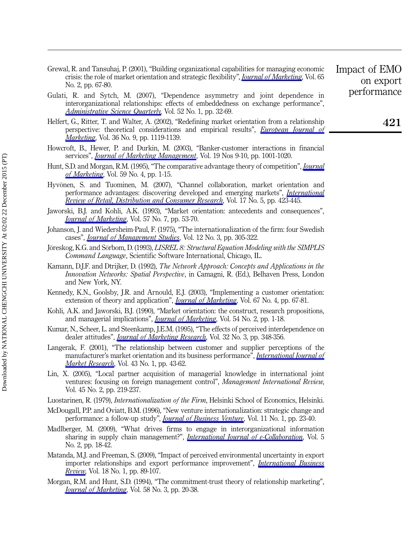- Grewal, R. and Tansuhaj, P. (2001), "Building organizational capabilities for managing economic crisis: the role of market orientation and strategic flexibility", *[Journal of Marketing](http://www.emeraldinsight.com/action/showLinks?crossref=10.1509%2Fjmkg.65.2.67.18259&isi=000167974900005)*, Vol. 65 No. 2, pp. 67-80.
- Gulati, R. and Sytch, M. (2007), "Dependence asymmetry and joint dependence in interorganizational relationships: effects of embeddedness on exchange performance", [Administrative Science Quarterly](http://www.emeraldinsight.com/action/showLinks?isi=000247532200002), Vol. 52 No. 1, pp. 32-69.
- Helfert, G., Ritter, T. and Walter, A. (2002), "Redefining market orientation from a relationship perspective: theoretical considerations and empirical results", *[European Journal of](http://www.emeraldinsight.com/action/showLinks?system=10.1108%2F03090560210437361) [Marketing](http://www.emeraldinsight.com/action/showLinks?system=10.1108%2F03090560210437361)*, Vol. 36 No. 9, pp. 1119-1139.
- Howcroft, B., Hewer, P. and Durkin, M. (2003), "Banker-customer interactions in financial services", *[Journal of Marketing Management](http://www.emeraldinsight.com/action/showLinks?crossref=10.1080%2F0267257X.2003.9728248)*, Vol. 19 Nos 9-10, pp. 1001-1020.
- Hunt, S.D. and Morgan, R.M. (1995), "The comparative advantage theory of competition", [Journal](http://www.emeraldinsight.com/action/showLinks?crossref=10.2307%2F1252069&isi=A1995QQ63900001) [of Marketing](http://www.emeraldinsight.com/action/showLinks?crossref=10.2307%2F1252069&isi=A1995QQ63900001), Vol. 59 No. 4, pp. 1-15.
- Hyvönen, S. and Tuominen, M. (2007), "Channel collaboration, market orientation and performance advantages: discovering developed and emerging markets", [International](http://www.emeraldinsight.com/action/showLinks?crossref=10.1080%2F09593960701631482) [Review of Retail, Distribution and Consumer Research](http://www.emeraldinsight.com/action/showLinks?crossref=10.1080%2F09593960701631482), Vol. 17 No. 5, pp. 423-445.
- Jaworski, B.J. and Kohli, A.K. (1993), "Market orientation: antecedents and consequences", [Journal of Marketing](http://www.emeraldinsight.com/action/showLinks?crossref=10.2307%2F1251854&isi=A1993LN85600004), Vol. 57 No. 7, pp. 53-70.
- Johanson, J. and Wiedersheim-Paul, F. (1975), "The internationalization of the firm: four Swedish cases", [Journal of Management Studies](http://www.emeraldinsight.com/action/showLinks?crossref=10.1111%2Fj.1467-6486.1975.tb00514.x&isi=A1975AW61200005), Vol. 12 No. 3, pp. 305-322.
- Jöreskog, K.G. and Sörbom, D. (1993), LISREL 8: Structural Equation Modeling with the SIMPLIS Command Language, Scientific Software International, Chicago, IL.
- Kamann, D.J.F. and Dtrijker, D. (1992), The Network Approach: Concepts and Applications in the Innovation Networks: Spatial Perspective, in Camagni, R. (Ed.), Belhaven Press, London and New York, NY.
- Kennedy, K.N., Goolsby, J.R. and Arnould, E.J. (2003), "Implementing a customer orientation: extension of theory and application", *[Journal of Marketing](http://www.emeraldinsight.com/action/showLinks?crossref=10.1509%2Fjmkg.67.4.67.18682&isi=000185853700005)*, Vol. 67 No. 4, pp. 67-81.
- Kohli, A.K. and Jaworski, B.J. (1990), "Market orientation: the construct, research propositions, and managerial implications", *[Journal of Marketing](http://www.emeraldinsight.com/action/showLinks?crossref=10.2307%2F1251866&isi=A1990CZ14400001)*, Vol. 54 No. 2, pp. 1-18.
- Kumar, N., Scheer, L. and Steenkamp, J.E.M. (1995), "The effects of perceived interdependence on dealer attitudes", *[Journal of Marketing Research](http://www.emeraldinsight.com/action/showLinks?crossref=10.2307%2F3151986&isi=A1995TG54300009)*, Vol. 32 No. 3, pp. 348-356.
- Langerak, F. (2001), "The relationship between customer and supplier perceptions of the manufacturer's market orientation and its business performance", *[International Journal of](http://www.emeraldinsight.com/action/showLinks?isi=000166981700003)* [Market Research](http://www.emeraldinsight.com/action/showLinks?isi=000166981700003), Vol. 43 No. 1, pp. 43-62.
- Lin, X. (2005), "Local partner acquisition of managerial knowledge in international joint ventures: focusing on foreign management control", Management International Review, Vol. 45 No. 2, pp. 219-237.
- Luostarinen, R. (1979), Internationalization of the Firm, Helsinki School of Economics, Helsinki.
- McDougall, P.P. and Oviatt, B.M. (1996), "New venture internationalization: strategic change and performance: a follow-up study", *[Journal of Business Venture](http://www.emeraldinsight.com/action/showLinks?crossref=10.1016%2F0883-9026%2895%2900081-X&isi=A1996TQ29800003)*, Vol. 11 No. 1, pp. 23-40.
- Madlberger, M. (2009), "What drives firms to engage in interorganizational information sharing in supply chain management?", *[International Journal of e-Collaboration](http://www.emeraldinsight.com/action/showLinks?crossref=10.4018%2Fjec.2009040102)*, Vol. 5 No. 2, pp. 18-42.
- Matanda, M.J. and Freeman, S. (2009), "Impact of perceived environmental uncertainty in export importer relationships and export performance improvement", *[International Business](http://www.emeraldinsight.com/action/showLinks?crossref=10.1016%2Fj.ibusrev.2008.12.004&isi=000264927400008)* [Review](http://www.emeraldinsight.com/action/showLinks?crossref=10.1016%2Fj.ibusrev.2008.12.004&isi=000264927400008), Vol. 18 No. 1, pp. 89-107.
- Morgan, R.M. and Hunt, S.D. (1994), "The commitment-trust theory of relationship marketing", [Journal of Marketing](http://www.emeraldinsight.com/action/showLinks?crossref=10.2307%2F1252308&isi=A1994NW35300002), Vol. 58 No. 3, pp. 20-38.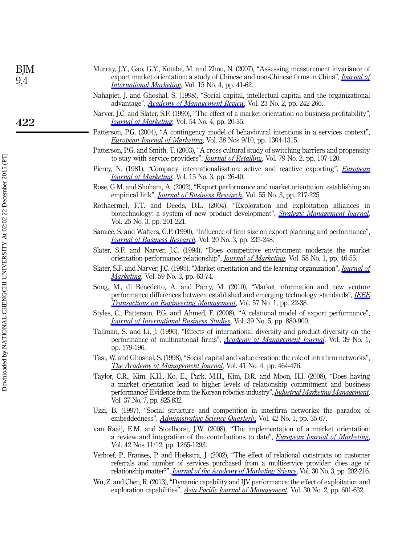| BJM<br>9,4 | Murray, J.Y., Gao, G.Y., Kotabe, M. and Zhou, N. (2007), "Assessing measurement invariance of<br>export market orientation: a study of Chinese and non-Chinese firms in China", <i>Journal of</i><br><i>International Marketing</i> , Vol. 15 No. 4, pp. 41-62.                                               |
|------------|---------------------------------------------------------------------------------------------------------------------------------------------------------------------------------------------------------------------------------------------------------------------------------------------------------------|
|            | Nahapiet, J. and Ghoshal, S. (1998), "Social capital, intellectual capital and the organizational<br>advantage", <i>Academy of Management Review</i> , Vol. 23 No. 2, pp. 242-266.                                                                                                                            |
| 422        | Narver, J.C. and Slater, S.F. (1990), "The effect of a market orientation on business profitability",<br><i>Journal of Marketing</i> , Vol. 54 No. 4, pp. 20-35.                                                                                                                                              |
|            | Patterson, P.G. (2004), "A contingency model of behavioural intentions in a services context",<br><b>European Journal of Marketing, Vol. 38 Nos 9/10, pp. 1304-1315.</b>                                                                                                                                      |
|            | Patterson, P.G. and Smith, T. (2003), "A cross cultural study of switching barriers and propensity<br>to stay with service providers", <i>Journal of Retailing</i> , Vol. 79 No. 2, pp. 107-120.                                                                                                              |
|            | Piercy, N. (1981), "Company internationalisation: active and reactive exporting", <i>European</i><br><i>Journal of Marketing</i> , Vol. 15 No. 3, pp. 26-40.                                                                                                                                                  |
|            | Rose, G.M. and Shoham, A. (2002), "Export performance and market orientation: establishing an<br>empirical link", <i>Journal of Business Research</i> , Vol. 55 No. 3, pp. 217-225.                                                                                                                           |
|            | Rothaermel, F.T. and Deeds, D.L. (2004), "Exploration and exploitation alliances in<br>biotechnology: a system of new product development", Strategic Management Journal,<br>Vol. 25 No. 3, pp. 201-221.                                                                                                      |
|            | Samiee, S. and Walters, G.P. (1990), "Influence of firm size on export planning and performance",<br><i>Journal of Business Research</i> , Vol. 20 No. 3, pp. 235-248.                                                                                                                                        |
|            | Slater, S.F. and Narver, J.C. (1994), "Does competitive environment moderate the market<br>orientation-performance relationship", <i>Journal of Marketing</i> , Vol. 58 No. 1, pp. 46-55.                                                                                                                     |
|            | Slater, S.F. and Narver, J.C. (1995), "Market orientation and the learning organization", <i>Journal of</i><br><i>Marketing</i> , Vol. 59 No. 3, pp. 63-74.                                                                                                                                                   |
|            | Song, M., di Benedetto, A. and Parry, M. (2010), "Market information and new venture<br>performance differences between established and emerging technology standards", IEEE<br><i>Transactions on Engineering Management</i> , Vol. 57 No. 1, pp. 22-38.                                                     |
|            | Styles, C., Patterson, P.G. and Ahmed, F. (2008), "A relational model of export performance",<br><b>Journal of International Business Studies</b> , Vol. 39 No. 5, pp. 880-900.                                                                                                                               |
|            | Tallman, S. and Li, J. (1996), "Effects of international diversity and product diversity on the<br>performance of multinational firms", Academy of Management Journal, Vol. 39 No. 1,<br>pp. 179-196.                                                                                                         |
|            | Tasi, W. and Ghoshal, S. (1998), "Social capital and value creation: the role of intrafirm networks",<br><i>The Academy of Management Journal</i> , Vol. 41 No. 4, pp. 464-476.                                                                                                                               |
|            | Taylor, C.R., Kim, K.H., Ko, E., Park, M.H., Kim, D.R. and Moon, H.I. (2008), "Does having<br>a market orientation lead to higher levels of relationship commitment and business<br>performance? Evidence from the Korean robotics industry", Industrial Marketing Management,<br>Vol. 37 No. 7, pp. 825-832. |
|            | Uzzi, B. (1997), "Social structure and competition in interfirm networks: the paradox of<br>embeddedness", <i>Administrative Science Quarterly</i> , Vol. 42 No. 1, pp. 35-67.                                                                                                                                |
|            | van Raaij, E.M. and Stoelhorst, J.W. (2008), "The implementation of a market orientation:<br>a review and integration of the contributions to date", European Journal of Marketing,<br>Vol. 42 Nos 11/12, pp. 1265-1293.                                                                                      |
|            | Verhoef, P., Franses, P. and Hoekstra, J. (2002), "The effect of relational constructs on customer<br>referrals and number of services purchased from a multiservice provider: does age of<br>relationship matter?", Journal of the Academy of Marketing Science, Vol. 30 No. 3, pp. 202-216.                 |
|            | Wu, Z. and Chen, R. (2013), "Dynamic capability and IJV performance: the effect of exploitation and<br>exploration capabilities", <i>Asia Pacific Journal of Management</i> , Vol. 30 No. 2, pp. 601-632.                                                                                                     |
|            |                                                                                                                                                                                                                                                                                                               |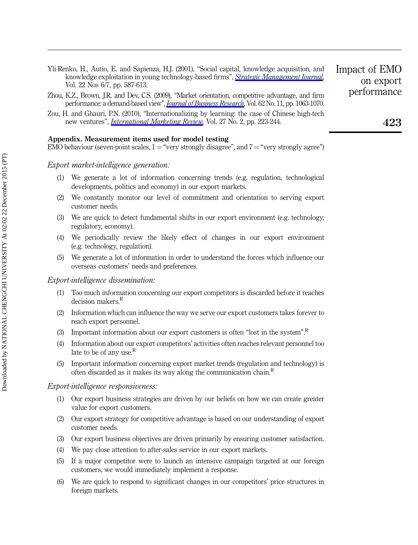- Yli-Renko, H., Autio, E. and Sapienza, H.J. (2001), "Social capital, knowledge acquisition, and knowledge exploitation in young technology-based firms", [Strategic Management Journal](http://www.emeraldinsight.com/action/showLinks?crossref=10.1002%2Fsmj.183&isi=000169356000006), Vol. 22 Nos 6/7, pp. 587-613.
- Zhou, K.Z., Brown, J.R. and Dev, C.S. (2009), "Market orientation, competitive advantage, and firm performance: a demand-based view", [Journal of Business Research](http://www.emeraldinsight.com/action/showLinks?crossref=10.1016%2Fj.jbusres.2008.10.001&isi=000270694100004), Vol. 62 No. 11, pp. 1063-1070.
- Zou, H. and Ghauri, P.N. (2010), "Internationalizing by learning: the case of Chinese high-tech new ventures", *[International Marketing Review](http://www.emeraldinsight.com/action/showLinks?system=10.1108%2F02651331011037539&isi=000279804700006)*, Vol. 27 No. 2, pp. 223-244.

#### Appendix. Measurement items used for model testing

EMO behaviour (seven-point scales,  $1 =$  "very strongly disagree", and  $7 =$  "very strongly agree")

#### Export market-intelligence generation:

- (1) We generate a lot of information concerning trends (e.g. regulation, technological developments, politics and economy) in our export markets.
- (2) We constantly monitor our level of commitment and orientation to serving export customer needs.
- (3) We are quick to detect fundamental shifts in our export environment (e.g. technology, regulatory, economy).
- (4) We periodically review the likely effect of changes in our export environment (e.g. technology, regulation).
- (5) We generate a lot of information in order to understand the forces which influence our overseas customers' needs and preferences.

#### Export-intelligence dissemination:

- (1) Too much information concerning our export competitors is discarded before it reaches decision makers.<sup>R</sup>
- (2) Information which can influence the way we serve our export customers takes forever to reach export personnel.
- (3) Important information about our export customers is often "lost in the system".<sup>R</sup>
- (4) Information about our export competitors' activities often reaches relevant personnel too late to be of any use. $<sup>R</sup>$ </sup>
- (5) Important information concerning export market trends (regulation and technology) is often discarded as it makes its way along the communication chain.<sup>R</sup>

#### Export-intelligence responsiveness:

- (1) Our export business strategies are driven by our beliefs on how we can create greater value for export customers.
- (2) Our export strategy for competitive advantage is based on our understanding of export customer needs.
- (3) Our export business objectives are driven primarily by ensuring customer satisfaction.
- (4) We pay close attention to after-sales service in our export markets.
- (5) If a major competitor were to launch an intensive campaign targeted at our foreign customers, we would immediately implement a response.
- (6) We are quick to respond to significant changes in our competitors' price structures in foreign markets.

Impact of EMO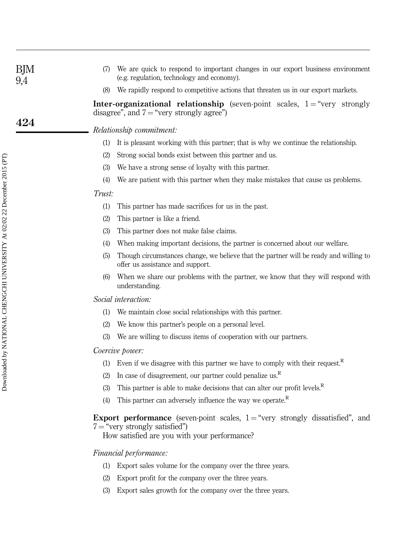| BJM<br>9,4 | We are quick to respond to important changes in our export business environment<br>(7)<br>(e.g. regulation, technology and economy). |  |
|------------|--------------------------------------------------------------------------------------------------------------------------------------|--|
|            | We rapidly respond to competitive actions that threaten us in our export markets.<br>(8)                                             |  |
|            | <b>Inter-organizational relationship</b> (seven-point scales, $1 =$ "very strongly<br>disagree", and $7 =$ "very strongly agree")    |  |
| 424        | Relationship commitment:                                                                                                             |  |
|            | It is pleasant working with this partner; that is why we continue the relationship.<br>(1)                                           |  |
|            | (2)<br>Strong social bonds exist between this partner and us.                                                                        |  |
|            | We have a strong sense of loyalty with this partner.<br>(3)                                                                          |  |
|            | We are patient with this partner when they make mistakes that cause us problems.<br>(4)                                              |  |
|            | Trust:                                                                                                                               |  |
|            | (1)<br>This partner has made sacrifices for us in the past.                                                                          |  |
|            | (2)<br>This partner is like a friend.                                                                                                |  |
|            | (3)<br>This partner does not make false claims.                                                                                      |  |
|            | When making important decisions, the partner is concerned about our welfare.<br>(4)                                                  |  |
|            | (5)<br>Though circumstances change, we believe that the partner will be ready and willing to<br>offer us assistance and support.     |  |
|            | When we share our problems with the partner, we know that they will respond with<br>(6)<br>understanding.                            |  |
|            | Social interaction:                                                                                                                  |  |
|            | We maintain close social relationships with this partner.<br>(1)                                                                     |  |
|            | (2)<br>We know this partner's people on a personal level.                                                                            |  |
|            | We are willing to discuss items of cooperation with our partners.<br>(3)                                                             |  |

#### Coercive power:

- (1) Even if we disagree with this partner we have to comply with their request.<sup>R</sup>
- (2) In case of disagreement, our partner could penalize us.<sup>R</sup>
- (3) This partner is able to make decisions that can alter our profit levels.<sup>R</sup>
- (4) This partner can adversely influence the way we operate.<sup>R</sup>

**Export performance** (seven-point scales,  $1 =$  "very strongly dissatisfied", and  $7 =$ "very strongly satisfied")

How satisfied are you with your performance?

#### Financial performance:

- (1) Export sales volume for the company over the three years.
- (2) Export profit for the company over the three years.
- (3) Export sales growth for the company over the three years.